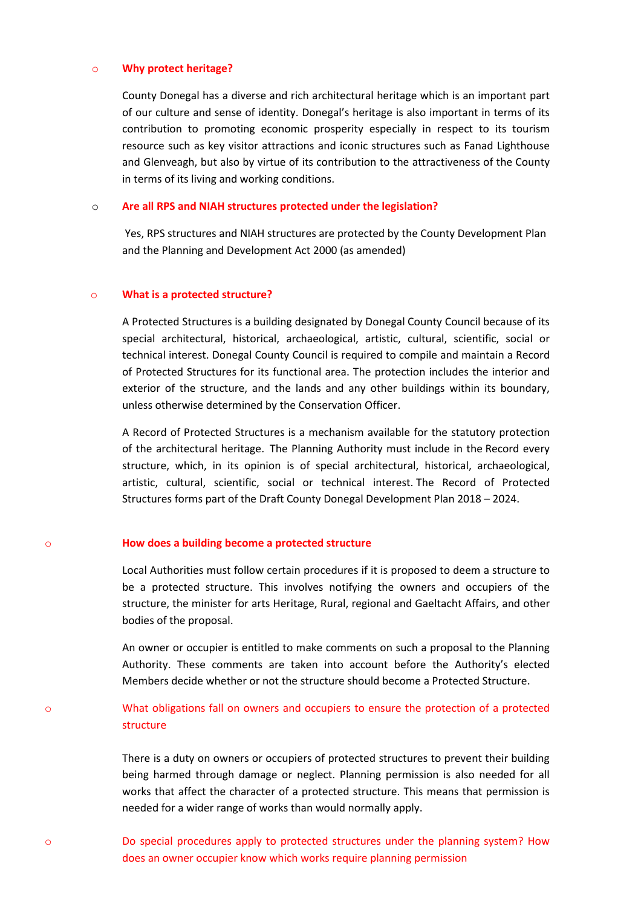#### o Why protect heritage?

County Donegal has a diverse and rich architectural heritage which is an important part of our culture and sense of identity. Donegal's heritage is also important in terms of its contribution to promoting economic prosperity especially in respect to its tourism resource such as key visitor attractions and iconic structures such as Fanad Lighthouse and Glenveagh, but also by virtue of its contribution to the attractiveness of the County in terms of its living and working conditions.

#### o Are all RPS and NIAH structures protected under the legislation?

 Yes, RPS structures and NIAH structures are protected by the County Development Plan and the Planning and Development Act 2000 (as amended)

#### o What is a protected structure?

A Protected Structures is a building designated by Donegal County Council because of its special architectural, historical, archaeological, artistic, cultural, scientific, social or technical interest. Donegal County Council is required to compile and maintain a Record of Protected Structures for its functional area. The protection includes the interior and exterior of the structure, and the lands and any other buildings within its boundary, unless otherwise determined by the Conservation Officer.

A Record of Protected Structures is a mechanism available for the statutory protection of the architectural heritage. The Planning Authority must include in the Record every structure, which, in its opinion is of special architectural, historical, archaeological, artistic, cultural, scientific, social or technical interest. The Record of Protected Structures forms part of the Draft County Donegal Development Plan 2018 – 2024.

#### o How does a building become a protected structure

Local Authorities must follow certain procedures if it is proposed to deem a structure to be a protected structure. This involves notifying the owners and occupiers of the structure, the minister for arts Heritage, Rural, regional and Gaeltacht Affairs, and other bodies of the proposal.

An owner or occupier is entitled to make comments on such a proposal to the Planning Authority. These comments are taken into account before the Authority's elected Members decide whether or not the structure should become a Protected Structure.

# o What obligations fall on owners and occupiers to ensure the protection of a protected structure

There is a duty on owners or occupiers of protected structures to prevent their building being harmed through damage or neglect. Planning permission is also needed for all works that affect the character of a protected structure. This means that permission is needed for a wider range of works than would normally apply.

o Do special procedures apply to protected structures under the planning system? How does an owner occupier know which works require planning permission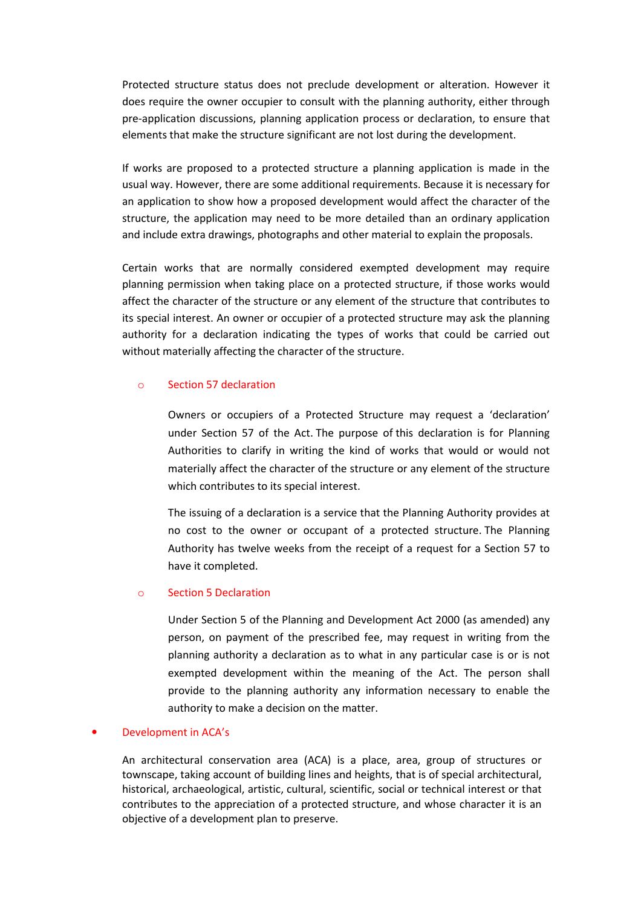Protected structure status does not preclude development or alteration. However it does require the owner occupier to consult with the planning authority, either through pre-application discussions, planning application process or declaration, to ensure that elements that make the structure significant are not lost during the development.

If works are proposed to a protected structure a planning application is made in the usual way. However, there are some additional requirements. Because it is necessary for an application to show how a proposed development would affect the character of the structure, the application may need to be more detailed than an ordinary application and include extra drawings, photographs and other material to explain the proposals.

Certain works that are normally considered exempted development may require planning permission when taking place on a protected structure, if those works would affect the character of the structure or any element of the structure that contributes to its special interest. An owner or occupier of a protected structure may ask the planning authority for a declaration indicating the types of works that could be carried out without materially affecting the character of the structure.

### o Section 57 declaration

Owners or occupiers of a Protected Structure may request a 'declaration' under Section 57 of the Act. The purpose of this declaration is for Planning Authorities to clarify in writing the kind of works that would or would not materially affect the character of the structure or any element of the structure which contributes to its special interest.

The issuing of a declaration is a service that the Planning Authority provides at no cost to the owner or occupant of a protected structure. The Planning Authority has twelve weeks from the receipt of a request for a Section 57 to have it completed.

## o Section 5 Declaration

Under Section 5 of the Planning and Development Act 2000 (as amended) any person, on payment of the prescribed fee, may request in writing from the planning authority a declaration as to what in any particular case is or is not exempted development within the meaning of the Act. The person shall provide to the planning authority any information necessary to enable the authority to make a decision on the matter.

### • Development in ACA's

An architectural conservation area (ACA) is a place, area, group of structures or townscape, taking account of building lines and heights, that is of special architectural, historical, archaeological, artistic, cultural, scientific, social or technical interest or that contributes to the appreciation of a protected structure, and whose character it is an objective of a development plan to preserve.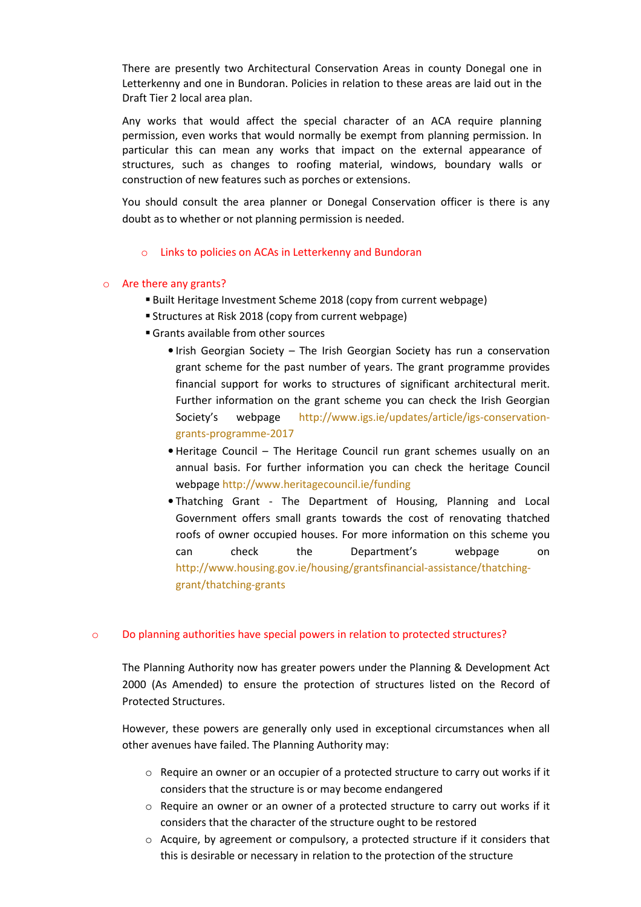There are presently two Architectural Conservation Areas in county Donegal one in Letterkenny and one in Bundoran. Policies in relation to these areas are laid out in the Draft Tier 2 local area plan.

Any works that would affect the special character of an ACA require planning permission, even works that would normally be exempt from planning permission. In particular this can mean any works that impact on the external appearance of structures, such as changes to roofing material, windows, boundary walls or construction of new features such as porches or extensions.

You should consult the area planner or Donegal Conservation officer is there is any doubt as to whether or not planning permission is needed.

o Links to policies on ACAs in Letterkenny and Bundoran

### o Are there any grants?

- Built Heritage Investment Scheme 2018 (copy from current webpage)
- Structures at Risk 2018 (copy from current webpage)
- Grants available from other sources
	- Irish Georgian Society The Irish Georgian Society has run a conservation grant scheme for the past number of years. The grant programme provides financial support for works to structures of significant architectural merit. Further information on the grant scheme you can check the Irish Georgian Society's webpage http://www.igs.ie/updates/article/igs-conservationgrants-programme-2017
	- Heritage Council The Heritage Council run grant schemes usually on an annual basis. For further information you can check the heritage Council webpage http://www.heritagecouncil.ie/funding
	- Thatching Grant The Department of Housing, Planning and Local Government offers small grants towards the cost of renovating thatched roofs of owner occupied houses. For more information on this scheme you can check the Department's webpage on http://www.housing.gov.ie/housing/grantsfinancial-assistance/thatchinggrant/thatching-grants

### o Do planning authorities have special powers in relation to protected structures?

The Planning Authority now has greater powers under the Planning & Development Act 2000 (As Amended) to ensure the protection of structures listed on the Record of Protected Structures.

However, these powers are generally only used in exceptional circumstances when all other avenues have failed. The Planning Authority may:

- $\circ$  Require an owner or an occupier of a protected structure to carry out works if it considers that the structure is or may become endangered
- o Require an owner or an owner of a protected structure to carry out works if it considers that the character of the structure ought to be restored
- $\circ$  Acquire, by agreement or compulsory, a protected structure if it considers that this is desirable or necessary in relation to the protection of the structure